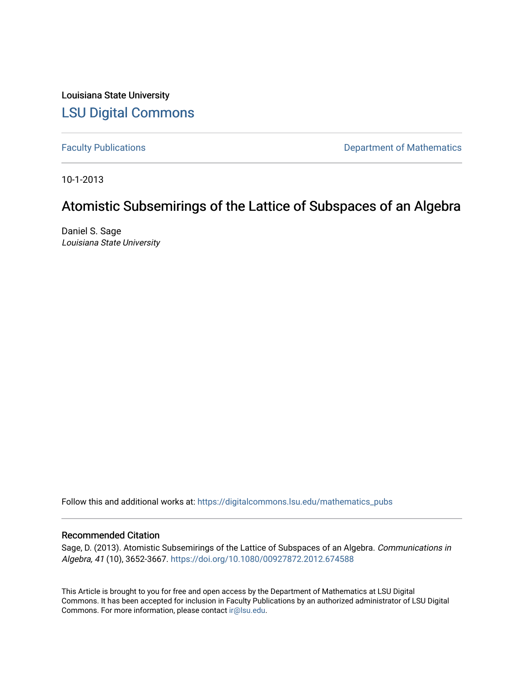Louisiana State University [LSU Digital Commons](https://digitalcommons.lsu.edu/)

[Faculty Publications](https://digitalcommons.lsu.edu/mathematics_pubs) **Exercise 2** and Table 2 and Table 2 and Department of Mathematics

10-1-2013

# Atomistic Subsemirings of the Lattice of Subspaces of an Algebra

Daniel S. Sage Louisiana State University

Follow this and additional works at: [https://digitalcommons.lsu.edu/mathematics\\_pubs](https://digitalcommons.lsu.edu/mathematics_pubs?utm_source=digitalcommons.lsu.edu%2Fmathematics_pubs%2F1342&utm_medium=PDF&utm_campaign=PDFCoverPages)

# Recommended Citation

Sage, D. (2013). Atomistic Subsemirings of the Lattice of Subspaces of an Algebra. Communications in Algebra, 41 (10), 3652-3667. <https://doi.org/10.1080/00927872.2012.674588>

This Article is brought to you for free and open access by the Department of Mathematics at LSU Digital Commons. It has been accepted for inclusion in Faculty Publications by an authorized administrator of LSU Digital Commons. For more information, please contact [ir@lsu.edu](mailto:ir@lsu.edu).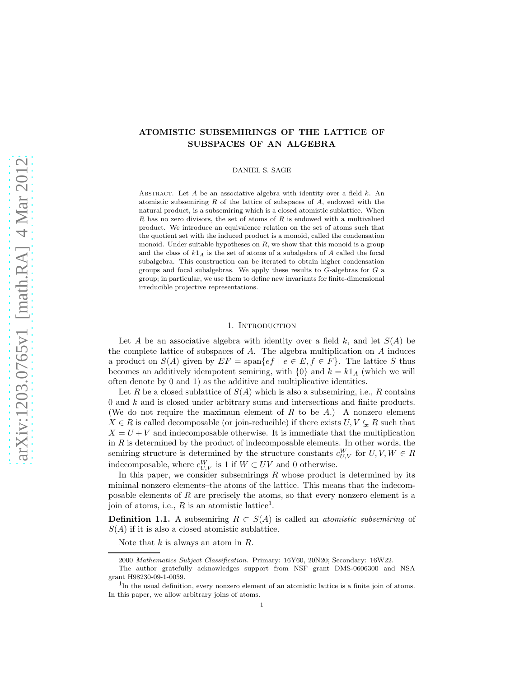# ATOMISTIC SUBSEMIRINGS OF THE LATTICE OF SUBSPACES OF AN ALGEBRA

DANIEL S. SAGE

ABSTRACT. Let  $A$  be an associative algebra with identity over a field  $k$ . An atomistic subsemiring  $R$  of the lattice of subspaces of  $A$ , endowed with the natural product, is a subsemiring which is a closed atomistic sublattice. When R has no zero divisors, the set of atoms of R is endowed with a multivalued product. We introduce an equivalence relation on the set of atoms such that the quotient set with the induced product is a monoid, called the condensation monoid. Under suitable hypotheses on  $R$ , we show that this monoid is a group and the class of  $k1_A$  is the set of atoms of a subalgebra of A called the focal subalgebra. This construction can be iterated to obtain higher condensation groups and focal subalgebras. We apply these results to  $G$ -algebras for  $G$  a group; in particular, we use them to define new invariants for finite-dimensional irreducible projective representations.

## 1. INTRODUCTION

Let A be an associative algebra with identity over a field k, and let  $S(A)$  be the complete lattice of subspaces of  $A$ . The algebra multiplication on  $A$  induces a product on  $S(A)$  given by  $EF = \text{span}\{ef \mid e \in E, f \in F\}$ . The lattice S thus becomes an additively idempotent semiring, with  $\{0\}$  and  $k = k1_A$  (which we will often denote by 0 and 1) as the additive and multiplicative identities.

Let R be a closed sublattice of  $S(A)$  which is also a subsemiring, i.e., R contains  $0$  and  $k$  and is closed under arbitrary sums and intersections and finite products. (We do not require the maximum element of R to be  $A$ .) A nonzero element  $X \in R$  is called decomposable (or join-reducible) if there exists  $U, V \subsetneq R$  such that  $X = U + V$  and indecomposable otherwise. It is immediate that the multiplication in  $R$  is determined by the product of indecomposable elements. In other words, the semiring structure is determined by the structure constants  $c_{U,V}^W$  for  $U, V, W \in R$ indecomposable, where  $c_{U,V}^W$  is 1 if  $W\subset UV$  and 0 otherwise.

In this paper, we consider subsemirings  $R$  whose product is determined by its minimal nonzero elements–the atoms of the lattice. This means that the indecomposable elements of  $R$  are precisely the atoms, so that every nonzero element is a join of atoms, i.e.,  $R$  is an atomistic lattice<sup>1</sup>.

**Definition 1.1.** A subsemiring  $R \subset S(A)$  is called an *atomistic subsemiring* of  $S(A)$  if it is also a closed atomistic sublattice.

Note that  $k$  is always an atom in  $R$ .

<sup>2000</sup> Mathematics Subject Classification. Primary: 16Y60, 20N20; Secondary: 16W22.

The author gratefully acknowledges support from NSF grant DMS-0606300 and NSA grant H98230-09-1-0059.

<sup>&</sup>lt;sup>1</sup>In the usual definition, every nonzero element of an atomistic lattice is a finite join of atoms. In this paper, we allow arbitrary joins of atoms.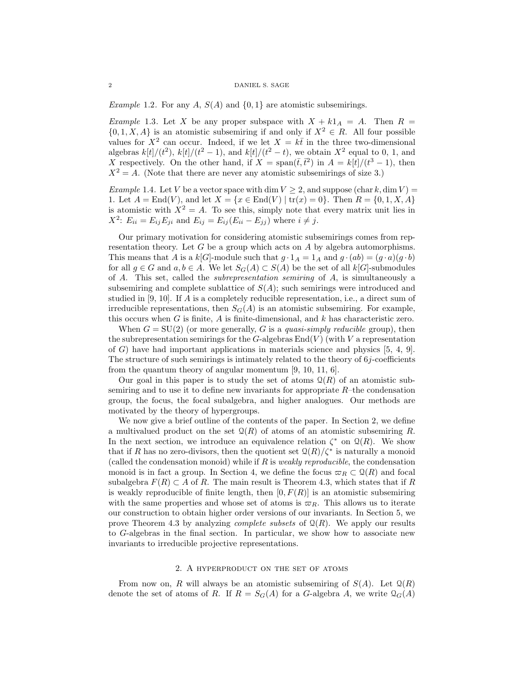*Example 1.2.* For any A,  $S(A)$  and  $\{0,1\}$  are atomistic subsemirings.

*Example* 1.3. Let X be any proper subspace with  $X + k1_A = A$ . Then  $R =$  $\{0, 1, X, A\}$  is an atomistic subsemiring if and only if  $X^2 \in R$ . All four possible values for  $X^2$  can occur. Indeed, if we let  $X = k\bar{t}$  in the three two-dimensional algebras  $k[t]/(t^2)$ ,  $k[t]/(t^2-1)$ , and  $k[t]/(t^2-t)$ , we obtain  $X^2$  equal to 0, 1, and X respectively. On the other hand, if  $X = \text{span}(\bar{t}, \bar{t}^2)$  in  $A = k[t]/(t^3 - 1)$ , then  $X^2 = A$ . (Note that there are never any atomistic subsemirings of size 3.)

Example 1.4. Let V be a vector space with dim  $V \geq 2$ , and suppose (char k, dim V) = 1. Let  $A = \text{End}(V)$ , and let  $X = \{x \in \text{End}(V) \mid \text{tr}(x) = 0\}$ . Then  $R = \{0, 1, X, A\}$ is atomistic with  $X^2 = A$ . To see this, simply note that every matrix unit lies in  $X^2$ :  $E_{ii} = E_{ij} E_{ji}$  and  $E_{ij} = E_{ij} (E_{ii} - E_{jj})$  where  $i \neq j$ .

Our primary motivation for considering atomistic subsemirings comes from representation theory. Let  $G$  be a group which acts on  $A$  by algebra automorphisms. This means that A is a  $k[G]$ -module such that  $g \cdot 1_A = 1_A$  and  $g \cdot (ab) = (g \cdot a)(g \cdot b)$ for all  $g \in G$  and  $a, b \in A$ . We let  $S_G(A) \subset S(A)$  be the set of all  $k[G]$ -submodules of A. This set, called the subrepresentation semiring of A, is simultaneously a subsemiring and complete sublattice of  $S(A)$ ; such semirings were introduced and studied in [9, 10]. If A is a completely reducible representation, i.e., a direct sum of irreducible representations, then  $S_G(A)$  is an atomistic subsemiring. For example, this occurs when  $G$  is finite,  $A$  is finite-dimensional, and  $k$  has characteristic zero.

When  $G = SU(2)$  (or more generally, G is a *quasi-simply reducible* group), then the subrepresentation semirings for the  $G$ -algebras  $\text{End}(V)$  (with V a representation of  $G$ ) have had important applications in materials science and physics  $[5, 4, 9]$ . The structure of such semirings is intimately related to the theory of  $6j$ -coefficients from the quantum theory of angular momentum [9, 10, 11, 6].

Our goal in this paper is to study the set of atoms  $\mathcal{Q}(R)$  of an atomistic subsemiring and to use it to define new invariants for appropriate  $R$ –the condensation group, the focus, the focal subalgebra, and higher analogues. Our methods are motivated by the theory of hypergroups.

We now give a brief outline of the contents of the paper. In Section 2, we define a multivalued product on the set  $\mathcal{Q}(R)$  of atoms of an atomistic subsemiring R. In the next section, we introduce an equivalence relation  $\zeta^*$  on  $\mathcal{Q}(R)$ . We show that if R has no zero-divisors, then the quotient set  $\mathcal{Q}(R)/\zeta^*$  is naturally a monoid (called the condensation monoid) while if  $R$  is *weakly reproducible*, the condensation monoid is in fact a group. In Section 4, we define the focus  $\varpi_R \subset \mathcal{Q}(R)$  and focal subalgebra  $F(R) \subset A$  of R. The main result is Theorem 4.3, which states that if R is weakly reproducible of finite length, then  $[0, F(R)]$  is an atomistic subsemiring with the same properties and whose set of atoms is  $\varpi_R$ . This allows us to iterate our construction to obtain higher order versions of our invariants. In Section 5, we prove Theorem 4.3 by analyzing *complete subsets* of  $\mathcal{Q}(R)$ . We apply our results to G-algebras in the final section. In particular, we show how to associate new invariants to irreducible projective representations.

## 2. A hyperproduct on the set of atoms

From now on, R will always be an atomistic subsemiring of  $S(A)$ . Let  $\mathcal{Q}(R)$ denote the set of atoms of R. If  $R = S_G(A)$  for a G-algebra A, we write  $\mathcal{Q}_G(A)$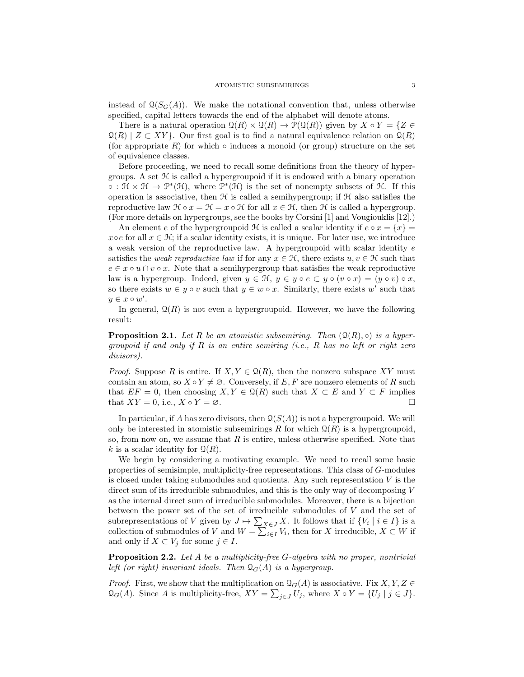instead of  $\mathcal{Q}(S_G(A))$ . We make the notational convention that, unless otherwise specified, capital letters towards the end of the alphabet will denote atoms.

There is a natural operation  $\mathcal{Q}(R) \times \mathcal{Q}(R) \to \mathcal{P}(\mathcal{Q}(R))$  given by  $X \circ Y = \{Z \in$  $\mathcal{Q}(R) \mid Z \subset XY$ . Our first goal is to find a natural equivalence relation on  $\mathcal{Q}(R)$ (for appropriate  $R$ ) for which  $\circ$  induces a monoid (or group) structure on the set of equivalence classes.

Before proceeding, we need to recall some definitions from the theory of hypergroups. A set  $\mathcal H$  is called a hypergroupoid if it is endowed with a binary operation  $\circ$ :  $\mathcal{H} \times \mathcal{H} \to \mathcal{P}^*(\mathcal{H})$ , where  $\mathcal{P}^*(\mathcal{H})$  is the set of nonempty subsets of  $\mathcal{H}$ . If this operation is associative, then  $H$  is called a semihypergroup; if  $H$  also satisfies the reproductive law  $\mathcal{H} \circ x = \mathcal{H} = x \circ \mathcal{H}$  for all  $x \in \mathcal{H}$ , then  $\mathcal{H}$  is called a hypergroup. (For more details on hypergroups, see the books by Corsini [1] and Vougiouklis [12].)

An element e of the hypergroupoid  $\mathcal H$  is called a scalar identity if  $e \circ x = \{x\}$  $x \circ e$  for all  $x \in \mathcal{H}$ ; if a scalar identity exists, it is unique. For later use, we introduce a weak version of the reproductive law. A hypergroupoid with scalar identity  $e$ satisfies the *weak reproductive law* if for any  $x \in \mathcal{H}$ , there exists  $u, v \in \mathcal{H}$  such that  $e \in x \circ u \cap v \circ x$ . Note that a semihypergroup that satisfies the weak reproductive law is a hypergroup. Indeed, given  $y \in \mathcal{H}$ ,  $y \in y \circ e \subset y \circ (v \circ x) = (y \circ v) \circ x$ , so there exists  $w \in y \circ v$  such that  $y \in w \circ x$ . Similarly, there exists w' such that  $y \in x \circ w'.$ 

In general,  $\mathcal{Q}(R)$  is not even a hypergroupoid. However, we have the following result:

**Proposition 2.1.** Let R be an atomistic subsemiring. Then  $(\mathcal{Q}(R), \circ)$  is a hypergroupoid if and only if R is an entire semiring (i.e., R has no left or right zero divisors).

*Proof.* Suppose R is entire. If  $X, Y \in \mathcal{Q}(R)$ , then the nonzero subspace XY must contain an atom, so  $X \circ Y \neq \emptyset$ . Conversely, if E, F are nonzero elements of R such that  $EF = 0$ , then choosing  $X, Y \in \mathcal{Q}(R)$  such that  $X \subset E$  and  $Y \subset F$  implies that  $XY = 0$ , i.e.,  $X \circ Y = \emptyset$ .

In particular, if A has zero divisors, then  $Q(S(A))$  is not a hypergroupoid. We will only be interested in atomistic subsemirings R for which  $\mathcal{Q}(R)$  is a hypergroupoid, so, from now on, we assume that  $R$  is entire, unless otherwise specified. Note that k is a scalar identity for  $\mathcal{Q}(R)$ .

We begin by considering a motivating example. We need to recall some basic properties of semisimple, multiplicity-free representations. This class of G-modules is closed under taking submodules and quotients. Any such representation  $V$  is the direct sum of its irreducible submodules, and this is the only way of decomposing  $V$ as the internal direct sum of irreducible submodules. Moreover, there is a bijection between the power set of the set of irreducible submodules of V and the set of subrepresentations of V given by  $J \mapsto \sum_{X \in J} X$ . It follows that if  $\{V_i \mid i \in I\}$  is a collection of submodules of V and  $W = \sum_{i \in I} V_i$ , then for X irreducible,  $X \subset W$  if and only if  $X \subset V_j$  for some  $j \in I$ .

**Proposition 2.2.** Let A be a multiplicity-free  $G$ -algebra with no proper, nontrivial left (or right) invariant ideals. Then  $\mathcal{Q}_G(A)$  is a hypergroup.

*Proof.* First, we show that the multiplication on  $Q_G(A)$  is associative. Fix  $X, Y, Z \in$  $\mathfrak{Q}_G(A)$ . Since A is multiplicity-free,  $XY = \sum_{j\in J} U_j$ , where  $X \circ Y = \{U_j \mid j \in J\}$ .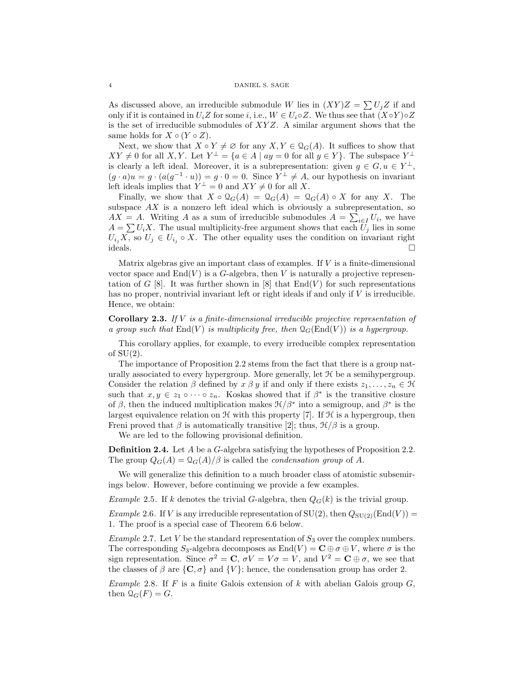As discussed above, an irreducible submodule W lies in  $(XY)Z = \sum U_jZ$  if and only if it is contained in  $U_iZ$  for some i, i.e.,  $W \in U_i \circ Z$ . We thus see that  $(X \circ Y) \circ Z$ is the set of irreducible submodules of  $XYZ$ . A similar argument shows that the same holds for  $X \circ (Y \circ Z)$ .

Next, we show that  $X \circ Y \neq \emptyset$  for any  $X, Y \in \mathcal{Q}_G(A)$ . It suffices to show that  $XY \neq 0$  for all X, Y. Let  $Y^{\perp} = \{a \in A \mid ay = 0 \text{ for all } y \in Y\}$ . The subspace  $Y^{\perp}$ is clearly a left ideal. Moreover, it is a subrepresentation: given  $g \in G, u \in Y^{\perp}$ ,  $(g \cdot a)u = g \cdot (a(g^{-1} \cdot u)) = g \cdot 0 = 0$ . Since  $Y^{\perp} \neq A$ , our hypothesis on invariant left ideals implies that  $Y^{\perp} = 0$  and  $XY \neq 0$  for all X.

Finally, we show that  $X \circ \mathcal{Q}_G(A) = \mathcal{Q}_G(A) = \mathcal{Q}_G(A) \circ X$  for any X. The subspace  $AX$  is a nonzero left ideal which is obviously a subrepresentation, so  $AX = A$ . Writing A as a sum of irreducible submodules  $A = \sum_{i \in I} U_i$ , we have  $A = \sum U_i X$ . The usual multiplicity-free argument shows that each  $U_j$  lies in some  $U_{i_j}X$ , so  $U_j \in U_{i_j} \circ X$ . The other equality uses the condition on invariant right  $ideals.$ 

Matrix algebras give an important class of examples. If V is a finite-dimensional vector space and  $\text{End}(V)$  is a G-algebra, then V is naturally a projective representation of G [8]. It was further shown in [8] that  $End(V)$  for such representations has no proper, nontrivial invariant left or right ideals if and only if  $V$  is irreducible. Hence, we obtain:

**Corollary 2.3.** If  $V$  is a finite-dimensional irreducible projective representation of a group such that  $\text{End}(V)$  is multiplicity free, then  $\mathcal{Q}_G(\text{End}(V))$  is a hypergroup.

This corollary applies, for example, to every irreducible complex representation of  $SU(2)$ .

The importance of Proposition 2.2 stems from the fact that there is a group naturally associated to every hypergroup. More generally, let  $H$  be a semihypergroup. Consider the relation  $\beta$  defined by  $x \beta y$  if and only if there exists  $z_1, \ldots, z_n \in \mathcal{H}$ such that  $x, y \in z_1 \circ \cdots \circ z_n$ . Koskas showed that if  $\beta^*$  is the transitive closure of  $\beta$ , then the induced multiplication makes  $\mathcal{H}/\beta^*$  into a semigroup, and  $\beta^*$  is the largest equivalence relation on  $\mathcal H$  with this property [7]. If  $\mathcal H$  is a hypergroup, then Freni proved that  $\beta$  is automatically transitive [2]; thus,  $\mathcal{H}/\beta$  is a group.

We are led to the following provisional definition.

**Definition 2.4.** Let A be a G-algebra satisfying the hypotheses of Proposition 2.2. The group  $Q_G(A) = \mathcal{Q}_G(A)/\beta$  is called the *condensation group* of A.

We will generalize this definition to a much broader class of atomistic subsemirings below. However, before continuing we provide a few examples.

Example 2.5. If k denotes the trivial G-algebra, then  $Q_G(k)$  is the trivial group.

*Example* 2.6. If V is any irreducible representation of  $SU(2)$ , then  $Q_{SU(2)}(End(V))$  = 1. The proof is a special case of Theorem 6.6 below.

Example 2.7. Let V be the standard representation of  $S_3$  over the complex numbers. The corresponding  $S_3$ -algebra decomposes as  $\text{End}(V) = \mathbf{C} \oplus \sigma \oplus V$ , where  $\sigma$  is the sign representation. Since  $\sigma^2 = \mathbf{C}$ ,  $\sigma V = V\sigma = V$ , and  $V^2 = \mathbf{C} \oplus \sigma$ , we see that the classes of  $\beta$  are  $\{C, \sigma\}$  and  $\{V\}$ ; hence, the condensation group has order 2.

Example 2.8. If F is a finite Galois extension of k with abelian Galois group  $G$ , then  $\mathcal{Q}_G(F) = G$ .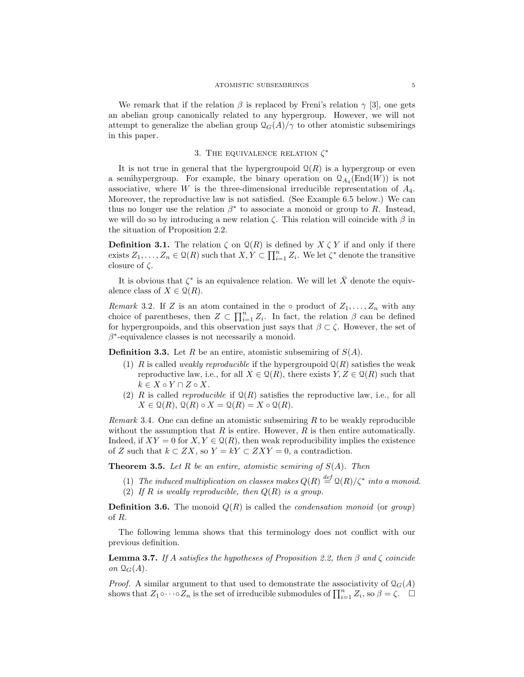We remark that if the relation  $\beta$  is replaced by Freni's relation  $\gamma$  [3], one gets an abelian group canonically related to any hypergroup. However, we will not attempt to generalize the abelian group  $\mathcal{Q}_G(A)/\gamma$  to other atomistic subsemirings in this paper.

## 3. THE EQUIVALENCE RELATION  $\zeta^*$

It is not true in general that the hypergroupoid  $\mathcal{Q}(R)$  is a hypergroup or even a semihypergroup. For example, the binary operation on  $\mathcal{Q}_{A_4}(\text{End}(W))$  is not associative, where W is the three-dimensional irreducible representation of  $A_4$ . Moreover, the reproductive law is not satisfied. (See Example 6.5 below.) We can thus no longer use the relation  $\beta^*$  to associate a monoid or group to R. Instead, we will do so by introducing a new relation  $\zeta$ . This relation will coincide with  $\beta$  in the situation of Proposition 2.2.

**Definition 3.1.** The relation  $\zeta$  on  $\mathcal{Q}(R)$  is defined by  $X \zeta Y$  if and only if there exists  $Z_1, \ldots, Z_n \in \mathcal{Q}(R)$  such that  $X, Y \subset \prod_{i=1}^n Z_i$ . We let  $\zeta^*$  denote the transitive closure of  $\zeta$ .

It is obvious that  $\zeta^*$  is an equivalence relation. We will let  $\bar{X}$  denote the equivalence class of  $X \in \mathcal{Q}(R)$ .

*Remark* 3.2. If Z is an atom contained in the  $\circ$  product of  $Z_1, \ldots, Z_n$  with any choice of parentheses, then  $Z \subset \prod_{i=1}^n Z_i$ . In fact, the relation  $\beta$  can be defined for hypergroupoids, and this observation just says that  $\beta \subset \zeta$ . However, the set of  $\beta^*$ -equivalence classes is not necessarily a monoid.

**Definition 3.3.** Let R be an entire, atomistic subsemiring of  $S(A)$ .

- (1) R is called *weakly reproducible* if the hypergroupoid  $\mathcal{Q}(R)$  satisfies the weak reproductive law, i.e., for all  $X \in \mathcal{Q}(R)$ , there exists  $Y, Z \in \mathcal{Q}(R)$  such that  $k \in X \circ Y \cap Z \circ X$ .
- (2) R is called *reproducible* if  $\mathcal{Q}(R)$  satisfies the reproductive law, i.e., for all  $X \in \mathcal{Q}(R), \mathcal{Q}(R) \circ X = \mathcal{Q}(R) = X \circ \mathcal{Q}(R).$

*Remark* 3.4. One can define an atomistic subsemiring  $R$  to be weakly reproducible without the assumption that  $R$  is entire. However,  $R$  is then entire automatically. Indeed, if  $XY = 0$  for  $X, Y \in \mathcal{Q}(R)$ , then weak reproducibility implies the existence of Z such that  $k \subset ZX$ , so  $Y = kY \subset ZXY = 0$ , a contradiction.

**Theorem 3.5.** Let R be an entire, atomistic semiring of  $S(A)$ . Then

- (1) The induced multiplication on classes makes  $Q(R) \stackrel{def}{=} Q(R)/\zeta^*$  into a monoid.
- (2) If R is weakly reproducible, then  $Q(R)$  is a group.

**Definition 3.6.** The monoid  $Q(R)$  is called the *condensation monoid* (or *group*) of R.

The following lemma shows that this terminology does not conflict with our previous definition.

**Lemma 3.7.** If A satisfies the hypotheses of Proposition 2.2, then  $\beta$  and  $\zeta$  coincide on  $\mathcal{Q}_G(A)$ .

*Proof.* A similar argument to that used to demonstrate the associativity of  $\mathcal{Q}_G(A)$ shows that  $Z_1 \circ \cdots \circ Z_n$  is the set of irreducible submodules of  $\prod_{i=1}^n Z_i$ , so  $\beta = \zeta$ .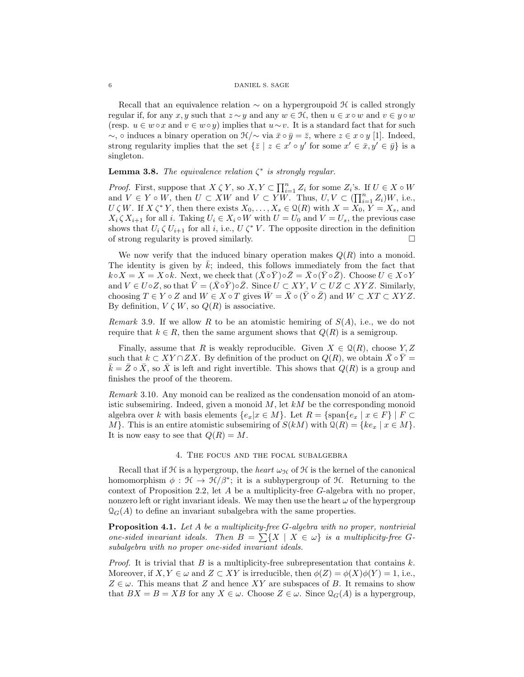Recall that an equivalence relation  $\sim$  on a hypergroupoid  $\mathcal H$  is called strongly regular if, for any x, y such that  $z \sim y$  and any  $w \in \mathcal{H}$ , then  $u \in x \circ w$  and  $v \in y \circ w$ (resp.  $u \in w \circ x$  and  $v \in w \circ y$ ) implies that  $u \sim v$ . It is a standard fact that for such ∼, ∘ induces a binary operation on  $\mathcal{H}/\sim$  via  $\bar{x} \circ \bar{y} = \bar{z}$ , where  $z \in x \circ y$  [1]. Indeed, strong regularity implies that the set  $\{\bar{z} \mid z \in x' \circ y' \text{ for some } x' \in \bar{x}, y' \in \bar{y}\}\$ is a singleton.

**Lemma 3.8.** The equivalence relation  $\zeta^*$  is strongly regular.

*Proof.* First, suppose that  $X \zeta Y$ , so  $X, Y \subset \prod_{i=1}^n Z_i$  for some  $Z_i$ 's. If  $U \in X \circ W$ and  $V \in Y \circ W$ , then  $U \subset XW$  and  $V \subset YW$ . Thus,  $U, V \subset (\prod_{i=1}^n Z_i)W$ , i.e.,  $U \zeta W$ . If  $X \zeta^* Y$ , then there exists  $X_0, \ldots, X_s \in \mathcal{Q}(R)$  with  $X = X_0, Y = X_s$ , and  $X_i \zeta X_{i+1}$  for all i. Taking  $U_i \in X_i \circ W$  with  $U = U_0$  and  $V = U_s$ , the previous case shows that  $U_i \zeta U_{i+1}$  for all i, i.e.,  $U \zeta^* V$ . The opposite direction in the definition of strong regularity is proved similarly.

We now verify that the induced binary operation makes  $Q(R)$  into a monoid. The identity is given by  $\overline{k}$ ; indeed, this follows immediately from the fact that  $k \circ X = X = X \circ k$ . Next, we check that  $(\bar{X} \circ \bar{Y}) \circ \bar{Z} = \bar{X} \circ (\bar{Y} \circ \bar{Z})$ . Choose  $U \in X \circ Y$ and  $V \in U \circ Z$ , so that  $V = (X \circ Y) \circ Z$ . Since  $U \subset XY$ ,  $V \subset UZ \subset XYZ$ . Similarly, choosing  $T \in Y \circ Z$  and  $W \in X \circ T$  gives  $\overline{W} = \overline{X} \circ (\overline{Y} \circ \overline{Z})$  and  $W \subset XT \subset XYZ$ . By definition,  $V \subset W$ , so  $Q(R)$  is associative.

*Remark* 3.9. If we allow R to be an atomistic hemiring of  $S(A)$ , i.e., we do not require that  $k \in R$ , then the same argument shows that  $Q(R)$  is a semigroup.

Finally, assume that R is weakly reproducible. Given  $X \in \mathcal{Q}(R)$ , choose  $Y, Z$ such that  $k \subset XY \cap ZX$ . By definition of the product on  $Q(R)$ , we obtain  $\overline{X} \circ \overline{Y} =$  $\overline{k} = Z \circ \overline{X}$ , so  $\overline{X}$  is left and right invertible. This shows that  $Q(R)$  is a group and finishes the proof of the theorem.

Remark 3.10. Any monoid can be realized as the condensation monoid of an atomistic subsemiring. Indeed, given a monoid  $M$ , let  $kM$  be the corresponding monoid algebra over k with basis elements  $\{e_x|x \in M\}$ . Let  $R = \{\text{span}\{e_x | x \in F\} | F \subset$ M}. This is an entire atomistic subsemiring of  $S(kM)$  with  $\mathcal{Q}(R) = \{ke_x \mid x \in M\}.$ It is now easy to see that  $Q(R) = M$ .

### 4. The focus and the focal subalgebra

Recall that if  $H$  is a hypergroup, the *heart*  $\omega_{H}$  of  $H$  is the kernel of the canonical homomorphism  $\phi : \mathcal{H} \to \mathcal{H}/\beta^*$ ; it is a subhypergroup of  $\mathcal{H}$ . Returning to the context of Proposition 2.2, let  $A$  be a multiplicity-free  $G$ -algebra with no proper, nonzero left or right invariant ideals. We may then use the heart  $\omega$  of the hypergroup  $\mathcal{Q}_G(A)$  to define an invariant subalgebra with the same properties.

Proposition 4.1. Let A be a multiplicity-free G-algebra with no proper, nontrivial one-sided invariant ideals. Then  $B = \sum \{X \mid X \in \omega\}$  is a multiplicity-free Gsubalgebra with no proper one-sided invariant ideals.

*Proof.* It is trivial that B is a multiplicity-free subrepresentation that contains  $k$ . Moreover, if  $X, Y \in \omega$  and  $Z \subset XY$  is irreducible, then  $\phi(Z) = \phi(X)\phi(Y) = 1$ , i.e.,  $Z \in \omega$ . This means that Z and hence XY are subspaces of B. It remains to show that  $BX = B = XB$  for any  $X \in \omega$ . Choose  $Z \in \omega$ . Since  $\mathcal{Q}_G(A)$  is a hypergroup,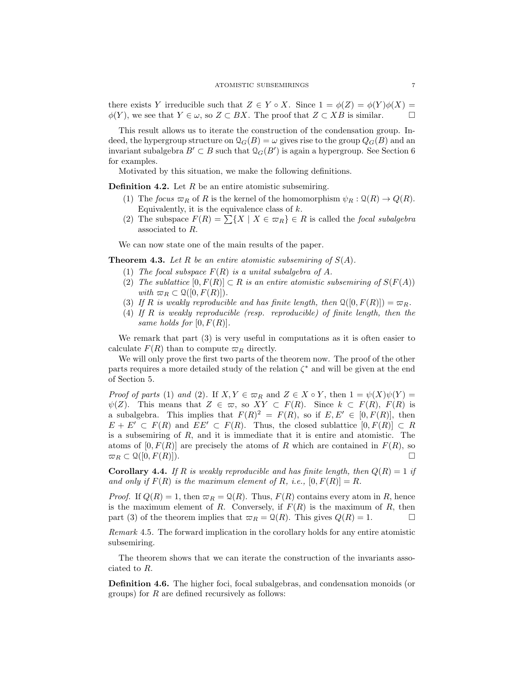there exists Y irreducible such that  $Z \in Y \circ X$ . Since  $1 = \phi(Z) = \phi(Y)\phi(X) =$  $\phi(Y)$ , we see that  $Y \in \omega$ , so  $Z \subset BX$ . The proof that  $Z \subset XB$  is similar.

This result allows us to iterate the construction of the condensation group. Indeed, the hypergroup structure on  $\mathcal{Q}_G(B) = \omega$  gives rise to the group  $Q_G(B)$  and an invariant subalgebra  $B' \subset B$  such that  $\mathcal{Q}_G(B')$  is again a hypergroup. See Section 6 for examples.

Motivated by this situation, we make the following definitions.

**Definition 4.2.** Let  $R$  be an entire atomistic subsemiring.

- (1) The focus  $\varpi_R$  of R is the kernel of the homomorphism  $\psi_R : \mathcal{Q}(R) \to Q(R)$ . Equivalently, it is the equivalence class of  $k$ .
- (2) The subspace  $F(R) = \sum \{X \mid X \in \varpi_R\} \in R$  is called the *focal subalgebra* associated to R.

We can now state one of the main results of the paper.

**Theorem 4.3.** Let R be an entire atomistic subsemiring of  $S(A)$ .

- (1) The focal subspace  $F(R)$  is a unital subalgebra of A.
- (2) The sublattice  $[0, F(R)] \subset R$  is an entire atomistic subsemiring of  $S(F(A))$ with  $\varpi_R \subset \mathcal{Q}([0, F(R)]).$
- (3) If R is weakly reproducible and has finite length, then  $\mathcal{Q}([0, F(R)]) = \varpi_R$ .
- (4) If R is weakly reproducible (resp. reproducible) of finite length, then the same holds for  $[0, F(R)]$ .

We remark that part (3) is very useful in computations as it is often easier to calculate  $F(R)$  than to compute  $\varpi_R$  directly.

We will only prove the first two parts of the theorem now. The proof of the other parts requires a more detailed study of the relation  $\zeta^*$  and will be given at the end of Section 5.

*Proof of parts* (1) and (2). If  $X, Y \in \varpi_R$  and  $Z \in X \circ Y$ , then  $1 = \psi(X)\psi(Y) =$  $\psi(Z)$ . This means that  $Z \in \varpi$ , so  $XY \subset F(R)$ . Since  $k \subset F(R)$ ,  $F(R)$  is a subalgebra. This implies that  $F(R)^2 = F(R)$ , so if  $E, E' \in [0, F(R)]$ , then  $E + E' \subset F(R)$  and  $EE' \subset F(R)$ . Thus, the closed sublattice  $[0, F(R)] \subset R$ is a subsemiring of R, and it is immediate that it is entire and atomistic. The atoms of  $[0, F(R)]$  are precisely the atoms of R which are contained in  $F(R)$ , so  $\varpi_R \subset \mathcal{Q}([0, F(R)]).$ 

**Corollary 4.4.** If R is weakly reproducible and has finite length, then  $Q(R) = 1$  if and only if  $F(R)$  is the maximum element of R, i.e.,  $[0, F(R)] = R$ .

*Proof.* If  $Q(R) = 1$ , then  $\varpi_R = Q(R)$ . Thus,  $F(R)$  contains every atom in R, hence is the maximum element of R. Conversely, if  $F(R)$  is the maximum of R, then part (3) of the theorem implies that  $\varpi_R = \mathcal{Q}(R)$ . This gives  $Q(R) = 1$ .

Remark 4.5. The forward implication in the corollary holds for any entire atomistic subsemiring.

The theorem shows that we can iterate the construction of the invariants associated to R.

Definition 4.6. The higher foci, focal subalgebras, and condensation monoids (or groups) for  $R$  are defined recursively as follows: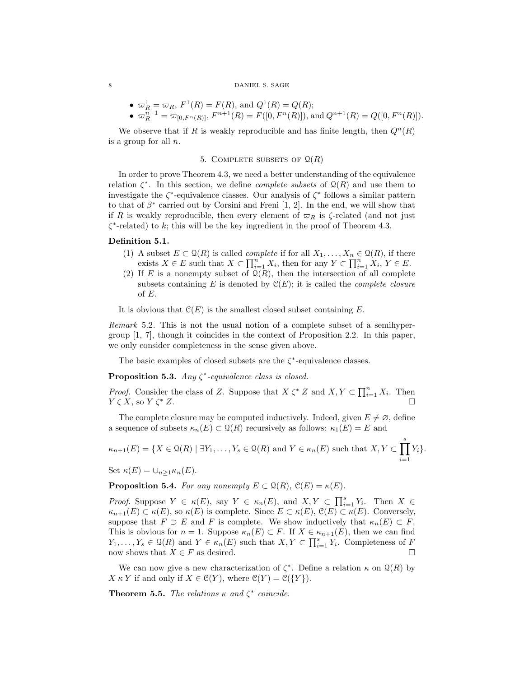\n- \n
$$
\varpi_R^1 = \varpi_R
$$
,  $F^1(R) = F(R)$ , and  $Q^1(R) = Q(R)$ ;\n
\n- \n $\varpi_R^{n+1} = \varpi_{[0, F^n(R)]}$ ,  $F^{n+1}(R) = F([0, F^n(R)])$ , and  $Q^{n+1}(R) = Q([0, F^n(R)])$ .\n
\n

We observe that if R is weakly reproducible and has finite length, then  $Q^n(R)$ is a group for all n.

## 5. COMPLETE SUBSETS OF  $\mathcal{Q}(R)$

In order to prove Theorem 4.3, we need a better understanding of the equivalence relation  $\zeta^*$ . In this section, we define *complete subsets* of  $\mathcal{Q}(R)$  and use them to investigate the  $\zeta^*$ -equivalence classes. Our analysis of  $\zeta^*$  follows a similar pattern to that of  $\beta^*$  carried out by Corsini and Freni [1, 2]. In the end, we will show that if R is weakly reproducible, then every element of  $\varpi_R$  is  $\zeta$ -related (and not just  $\zeta^*$ -related) to k; this will be the key ingredient in the proof of Theorem 4.3.

## Definition 5.1.

- (1) A subset  $E \subset \mathcal{Q}(R)$  is called *complete* if for all  $X_1, \ldots, X_n \in \mathcal{Q}(R)$ , if there exists  $X \in E$  such that  $X \subset \prod_{i=1}^n X_i$ , then for any  $Y \subset \prod_{i=1}^n X_i$ ,  $Y \in E$ .
- (2) If E is a nonempty subset of  $\mathcal{Q}(R)$ , then the intersection of all complete subsets containing E is denoted by  $\mathcal{C}(E)$ ; it is called the *complete closure* of E.

It is obvious that  $\mathcal{C}(E)$  is the smallest closed subset containing E.

Remark 5.2. This is not the usual notion of a complete subset of a semihypergroup [1, 7], though it coincides in the context of Proposition 2.2. In this paper, we only consider completeness in the sense given above.

The basic examples of closed subsets are the  $\zeta^*$ -equivalence classes.

**Proposition 5.3.** Any  $\zeta^*$ -equivalence class is closed.

*Proof.* Consider the class of Z. Suppose that  $X \zeta^* Z$  and  $X, Y \subset \prod_{i=1}^n X_i$ . Then  $Y \zeta X$ , so  $Y \zeta^* Z$ .

The complete closure may be computed inductively. Indeed, given  $E \neq \emptyset$ , define a sequence of subsets  $\kappa_n(E) \subset \mathcal{Q}(R)$  recursively as follows:  $\kappa_1(E) = E$  and

$$
\kappa_{n+1}(E) = \{ X \in \mathcal{Q}(R) \mid \exists Y_1, \dots, Y_s \in \mathcal{Q}(R) \text{ and } Y \in \kappa_n(E) \text{ such that } X, Y \subset \prod_{i=1}^s Y_i \}.
$$

Set  $\kappa(E) = \bigcup_{n>1} \kappa_n(E)$ .

**Proposition 5.4.** For any nonempty  $E \subset \mathcal{Q}(R)$ ,  $\mathcal{C}(E) = \kappa(E)$ .

*Proof.* Suppose  $Y \in \kappa(E)$ , say  $Y \in \kappa_n(E)$ , and  $X, Y \subset \prod_{i=1}^s Y_i$ . Then  $X \in$  $\kappa_{n+1}(E) \subset \kappa(E)$ , so  $\kappa(E)$  is complete. Since  $E \subset \kappa(E)$ ,  $\mathfrak{C}(E) \subset \kappa(E)$ . Conversely, suppose that  $F \supset E$  and F is complete. We show inductively that  $\kappa_n(E) \subset F$ . This is obvious for  $n = 1$ . Suppose  $\kappa_n(E) \subset F$ . If  $X \in \kappa_{n+1}(E)$ , then we can find  $Y_1, \ldots, Y_s \in \mathcal{Q}(R)$  and  $Y \in \kappa_n(E)$  such that  $X, Y \subset \prod_{i=1}^s Y_i$ . Completeness of F now shows that  $X \in F$  as desired.

We can now give a new characterization of  $\zeta^*$ . Define a relation  $\kappa$  on  $\mathcal{Q}(R)$  by  $X \kappa Y$  if and only if  $X \in \mathcal{C}(Y)$ , where  $\mathcal{C}(Y) = \mathcal{C}(\{Y\})$ .

**Theorem 5.5.** The relations  $\kappa$  and  $\zeta^*$  coincide.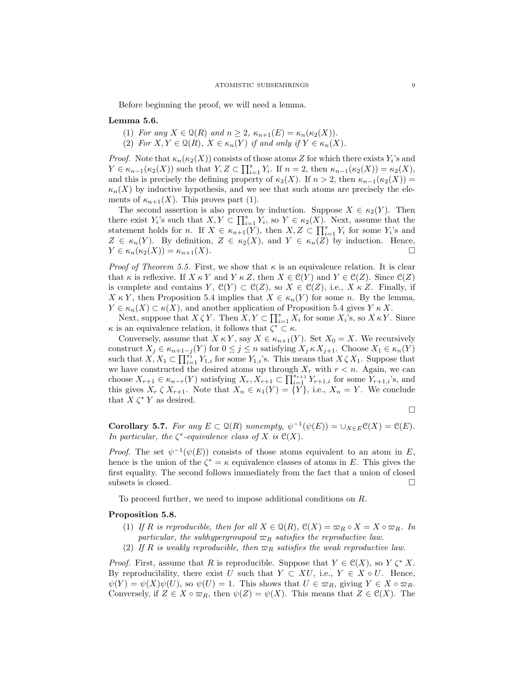Before beginning the proof, we will need a lemma.

## Lemma 5.6.

- (1) For any  $X \in \mathcal{Q}(R)$  and  $n \geq 2$ ,  $\kappa_{n+1}(E) = \kappa_n(\kappa_2(X)).$
- (2) For  $X, Y \in \mathfrak{Q}(R)$ ,  $X \in \kappa_n(Y)$  if and only if  $Y \in \kappa_n(X)$ .

*Proof.* Note that  $\kappa_n(\kappa_2(X))$  consists of those atoms Z for which there exists  $Y_i$ 's and  $Y \in \kappa_{n-1}(\kappa_2(X))$  such that  $Y, Z \subset \prod_{i=1}^s Y_i$ . If  $n = 2$ , then  $\kappa_{n-1}(\kappa_2(X)) = \kappa_2(X)$ , and this is precisely the defining property of  $\kappa_3(X)$ . If  $n > 2$ , then  $\kappa_{n-1}(\kappa_2(X)) =$  $\kappa_n(X)$  by inductive hypothesis, and we see that such atoms are precisely the elements of  $\kappa_{n+1}(X)$ . This proves part (1).

The second assertion is also proven by induction. Suppose  $X \in \kappa_2(Y)$ . Then there exist  $Y_i$ 's such that  $X, Y \subset \prod_{i=1}^s Y_i$ , so  $Y \in \kappa_2(X)$ . Next, assume that the statement holds for n. If  $X \in \kappa_{n+1}(Y)$ , then  $X, Z \subset \prod_{i=1}^s Y_i$  for some  $Y_i$ 's and  $Z \in \kappa_n(Y)$ . By definition,  $Z \in \kappa_2(X)$ , and  $Y \in \kappa_n(Z)$  by induction. Hence,  $Y \in \kappa_n(\kappa_2(X)) = \kappa_{n+1}(X).$ 

*Proof of Theorem 5.5.* First, we show that  $\kappa$  is an equivalence relation. It is clear that  $\kappa$  is reflexive. If  $X \kappa Y$  and  $Y \kappa Z$ , then  $X \in \mathcal{C}(Y)$  and  $Y \in \mathcal{C}(Z)$ . Since  $\mathcal{C}(Z)$ is complete and contains  $Y, \mathcal{C}(Y) \subset \mathcal{C}(Z)$ , so  $X \in \mathcal{C}(Z)$ , i.e.,  $X \kappa Z$ . Finally, if  $X \kappa Y$ , then Proposition 5.4 implies that  $X \in \kappa_n(Y)$  for some n. By the lemma,  $Y \in \kappa_n(X) \subset \kappa(X)$ , and another application of Proposition 5.4 gives  $Y \kappa X$ .

Next, suppose that  $X \zeta Y$ . Then  $X, Y \subset \prod_{i=1}^s X_i$  for some  $X_i$ 's, so  $X \kappa Y$ . Since  $\kappa$  is an equivalence relation, it follows that  $\zeta^* \subset \kappa$ .

Conversely, assume that  $X \kappa Y$ , say  $X \in \kappa_{n+1}(Y)$ . Set  $X_0 = X$ . We recursively construct  $X_j \in \kappa_{n+1-j}(Y)$  for  $0 \leq j \leq n$  satisfying  $X_j \kappa X_{j+1}$ . Choose  $X_1 \in \kappa_n(Y)$ such that  $X, X_1 \subset \prod_{i=1}^{s_1} Y_{1,i}$  for some  $Y_{1,i}$ 's. This means that  $X \zeta X_1$ . Suppose that we have constructed the desired atoms up through  $X_r$  with  $r < n$ . Again, we can choose  $X_{r+1} \in \kappa_{n-r}(Y)$  satisfying  $X_r, X_{r+1} \subset \prod_{i=1}^{s_{r+1}} Y_{r+1,i}$  for some  $Y_{r+1,i}$ 's, and this gives  $X_r \zeta X_{r+1}$ . Note that  $X_n \in \kappa_1(Y) = \{Y\}$ , i.e.,  $X_n = Y$ . We conclude that  $X \zeta^* Y$  as desired.

$$
\Box
$$

**Corollary 5.7.** For any  $E \subset \mathcal{Q}(R)$  nonempty,  $\psi^{-1}(\psi(E)) = \cup_{X \in E} \mathcal{C}(X) = \mathcal{C}(E)$ . In particular, the  $\zeta^*$ -equivalence class of X is  $\mathcal{C}(X)$ .

*Proof.* The set  $\psi^{-1}(\psi(E))$  consists of those atoms equivalent to an atom in E, hence is the union of the  $\zeta^* = \kappa$  equivalence classes of atoms in E. This gives the first equality. The second follows immediately from the fact that a union of closed subsets is closed.  $\Box$ 

To proceed further, we need to impose additional conditions on R.

## Proposition 5.8.

- (1) If R is reproducible, then for all  $X \in \mathcal{Q}(R)$ ,  $\mathcal{C}(X) = \varpi_R \circ X = X \circ \varpi_R$ . In particular, the subhypergroupoid  $\varpi_R$  satisfies the reproductive law.
- (2) If R is weakly reproducible, then  $\varpi_R$  satisfies the weak reproductive law.

*Proof.* First, assume that R is reproducible. Suppose that  $Y \in \mathcal{C}(X)$ , so  $Y \zeta^* X$ . By reproducibility, there exist U such that  $Y \subset XU$ , i.e.,  $Y \in X \circ U$ . Hence,  $\psi(Y) = \psi(X)\psi(U)$ , so  $\psi(U) = 1$ . This shows that  $U \in \overline{\omega}_R$ , giving  $Y \in X \circ \overline{\omega}_R$ . Conversely, if  $Z \in X \circ \varpi_R$ , then  $\psi(Z) = \psi(X)$ . This means that  $Z \in \mathcal{C}(X)$ . The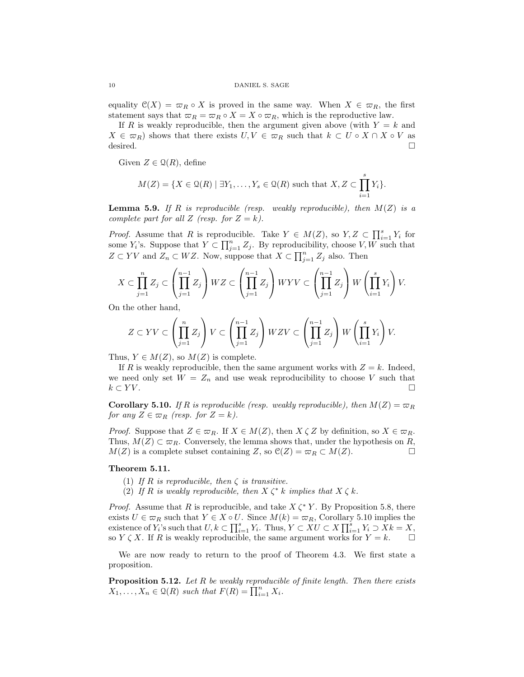equality  $\mathcal{C}(X) = \overline{\omega}_R \circ X$  is proved in the same way. When  $X \in \overline{\omega}_R$ , the first statement says that  $\varpi_R = \varpi_R \circ X = X \circ \varpi_R$ , which is the reproductive law.

If R is weakly reproducible, then the argument given above (with  $Y = k$  and  $X \in \varpi_R$ ) shows that there exists  $U, V \in \varpi_R$  such that  $k \subset U \circ X \cap X \circ V$  as desired.  $\Box$ 

Given  $Z \in \mathcal{Q}(R)$ , define

$$
M(Z) = \{ X \in \mathcal{Q}(R) \mid \exists Y_1, \dots, Y_s \in \mathcal{Q}(R) \text{ such that } X, Z \subset \prod_{i=1}^s Y_i \}.
$$

**Lemma 5.9.** If R is reproducible (resp. weakly reproducible), then  $M(Z)$  is a complete part for all Z (resp. for  $Z = k$ ).

*Proof.* Assume that R is reproducible. Take  $Y \in M(Z)$ , so  $Y, Z \subset \prod_{i=1}^{s} Y_i$  for some  $Y_i$ 's. Suppose that  $Y \subset \prod_{j=1}^n Z_j$ . By reproducibility, choose  $V, W$  such that  $Z \subset YV$  and  $Z_n \subset WZ$ . Now, suppose that  $X \subset \prod_{j=1}^n Z_j$  also. Then

$$
X \subset \prod_{j=1}^n Z_j \subset \left(\prod_{j=1}^{n-1} Z_j\right) WZ \subset \left(\prod_{j=1}^{n-1} Z_j\right) WYV \subset \left(\prod_{j=1}^{n-1} Z_j\right) W \left(\prod_{i=1}^s Y_i\right) V.
$$

On the other hand,

$$
Z \subset YV \subset \left(\prod_{j=1}^n Z_j\right) V \subset \left(\prod_{j=1}^{n-1} Z_j\right) WZV \subset \left(\prod_{j=1}^{n-1} Z_j\right) W \left(\prod_{i=1}^s Y_i\right) V.
$$

Thus,  $Y \in M(Z)$ , so  $M(Z)$  is complete.

If R is weakly reproducible, then the same argument works with  $Z = k$ . Indeed, we need only set  $W = Z_n$  and use weak reproducibility to choose V such that  $k \subset YV$ .

**Corollary 5.10.** If R is reproducible (resp. weakly reproducible), then  $M(Z) = \varpi_R$ for any  $Z \in \varpi_R$  (resp. for  $Z = k$ ).

*Proof.* Suppose that  $Z \in \varpi_R$ . If  $X \in M(Z)$ , then  $X \zeta Z$  by definition, so  $X \in \varpi_R$ . Thus,  $M(Z) \subset \varpi_R$ . Conversely, the lemma shows that, under the hypothesis on R,  $M(Z)$  is a complete subset containing Z, so  $\mathcal{C}(Z) = \varpi_R \subset M(Z)$ .

## Theorem 5.11.

- (1) If R is reproducible, then  $\zeta$  is transitive.
- (2) If R is weakly reproducible, then  $X \zeta^* k$  implies that  $X \zeta k$ .

*Proof.* Assume that R is reproducible, and take  $X \zeta^* Y$ . By Proposition 5.8, there exists  $U \in \overline{\omega}_R$  such that  $Y \in X \circ U$ . Since  $M(k) = \overline{\omega}_R$ , Corollary 5.10 implies the existence of  $Y_i$ 's such that  $U, k \subset \prod_{i=1}^s Y_i$ . Thus,  $Y \subset XU \subset X \prod_{i=1}^s Y_i \supset Xk = X$ , so  $Y \subset X$ . If R is weakly reproducible, the same argument works for  $Y = k$ .

We are now ready to return to the proof of Theorem 4.3. We first state a proposition.

**Proposition 5.12.** Let R be weakly reproducible of finite length. Then there exists  $X_1, \ldots, X_n \in \mathcal{Q}(R)$  such that  $F(R) = \prod_{i=1}^n X_i$ .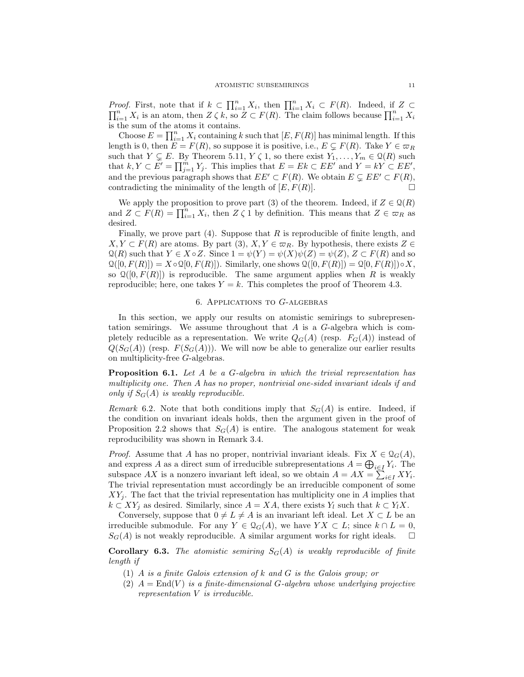*Proof.* First, note that if  $k \subset \prod_{i=1}^n X_i$ , then  $\prod_{i=1}^n X_i \subset F(R)$ . Indeed, if  $Z \subset$  $\prod_{i=1}^n X_i$  is an atom, then  $Z \zeta k$ , so  $Z \subset F(R)$ . The claim follows because  $\prod_{i=1}^n X_i$ is the sum of the atoms it contains.

Choose  $E = \prod_{i=1}^{n} X_i$  containing k such that  $[E, F(R)]$  has minimal length. If this length is 0, then  $E = F(R)$ , so suppose it is positive, i.e.,  $E \subseteq F(R)$ . Take  $Y \in \varpi_R$ such that  $Y \subsetneq E$ . By Theorem 5.11,  $Y \subsetneq 1$ , so there exist  $Y_1, \ldots, Y_m \in \mathcal{Q}(R)$  such that  $k, Y \subset E' = \prod_{j=1}^{m} Y_j$ . This implies that  $E = Ek \subset EE'$  and  $Y = kY \subset EE'$ , and the previous paragraph shows that  $EE' \subset F(R)$ . We obtain  $E \subset E'E' \subset F(R)$ , contradicting the minimality of the length of  $[E, F(R)]$ .

We apply the proposition to prove part (3) of the theorem. Indeed, if  $Z \in \mathcal{Q}(R)$ and  $Z \subset F(R) = \prod_{i=1}^{n} X_i$ , then  $Z \zeta 1$  by definition. This means that  $Z \in \varpi_R$  as desired.

Finally, we prove part  $(4)$ . Suppose that R is reproducible of finite length, and  $X, Y \subset F(R)$  are atoms. By part (3),  $X, Y \in \varpi_R$ . By hypothesis, there exists  $Z \in$  $\mathfrak{Q}(R)$  such that  $Y \in X \circ Z$ . Since  $1 = \psi(Y) = \psi(X)\psi(Z) = \psi(Z), Z \subset F(R)$  and so  $\mathcal{Q}([0, F(R)]) = X \circ \mathcal{Q}[0, F(R)]$ . Similarly, one shows  $\mathcal{Q}([0, F(R)]) = \mathcal{Q}[0, F(R)] \circ X$ , so  $\mathcal{Q}([0, F(R)])$  is reproducible. The same argument applies when R is weakly reproducible; here, one takes  $Y = k$ . This completes the proof of Theorem 4.3.

## 6. Applications to G-algebras

In this section, we apply our results on atomistic semirings to subrepresentation semirings. We assume throughout that A is a G-algebra which is completely reducible as a representation. We write  $Q_G(A)$  (resp.  $F_G(A)$ ) instead of  $Q(S_G(A))$  (resp.  $F(S_G(A))$ ). We will now be able to generalize our earlier results on multiplicity-free G-algebras.

**Proposition 6.1.** Let A be a G-algebra in which the trivial representation has multiplicity one. Then A has no proper, nontrivial one-sided invariant ideals if and only if  $S_G(A)$  is weakly reproducible.

Remark 6.2. Note that both conditions imply that  $S_G(A)$  is entire. Indeed, if the condition on invariant ideals holds, then the argument given in the proof of Proposition 2.2 shows that  $S_G(A)$  is entire. The analogous statement for weak reproducibility was shown in Remark 3.4.

*Proof.* Assume that A has no proper, nontrivial invariant ideals. Fix  $X \in \mathcal{Q}_G(A)$ , and express A as a direct sum of irreducible subrepresentations  $A = \bigoplus_{i \in I} Y_i$ . The subspace AX is a nonzero invariant left ideal, so we obtain  $A = AX = \sum_{i \in I} XY_i$ . The trivial representation must accordingly be an irreducible component of some  $XY_i$ . The fact that the trivial representation has multiplicity one in A implies that  $k \subset XY_j$  as desired. Similarly, since  $A = XA$ , there exists  $Y_l$  such that  $k \subset Y_lX$ .

Conversely, suppose that  $0 \neq L \neq A$  is an invariant left ideal. Let  $X \subset L$  be an irreducible submodule. For any  $Y \in \mathcal{Q}_G(A)$ , we have  $Y X \subset L$ ; since  $k \cap L = 0$ ,  $S_G(A)$  is not weakly reproducible. A similar argument works for right ideals.  $\square$ 

**Corollary 6.3.** The atomistic semiring  $S_G(A)$  is weakly reproducible of finite length if

- (1) A is a finite Galois extension of k and G is the Galois group; or
- (2)  $A = \text{End}(V)$  is a finite-dimensional G-algebra whose underlying projective representation V is irreducible.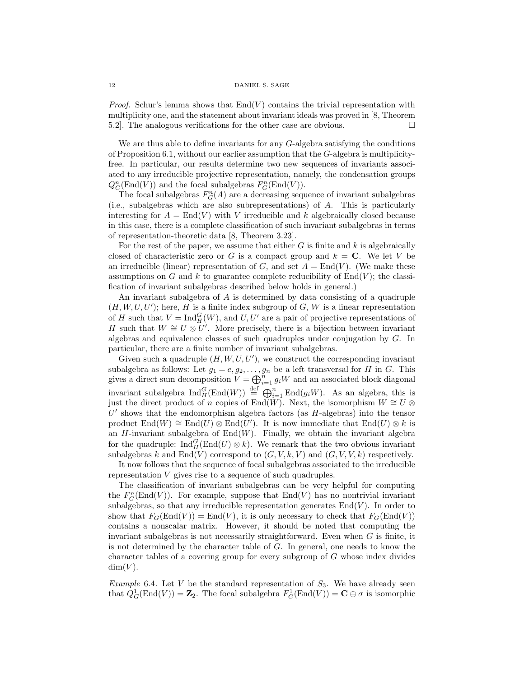*Proof.* Schur's lemma shows that  $End(V)$  contains the trivial representation with multiplicity one, and the statement about invariant ideals was proved in [8, Theorem 5.2. The analogous verifications for the other case are obvious.

We are thus able to define invariants for any G-algebra satisfying the conditions of Proposition 6.1, without our earlier assumption that the G-algebra is multiplicityfree. In particular, our results determine two new sequences of invariants associated to any irreducible projective representation, namely, the condensation groups  $Q_G^n(\text{End}(V))$  and the focal subalgebras  $F_G^n(\text{End}(V))$ .

The focal subalgebras  $F_G^n(A)$  are a decreasing sequence of invariant subalgebras (i.e., subalgebras which are also subrepresentations) of A. This is particularly interesting for  $A = \text{End}(V)$  with V irreducible and k algebraically closed because in this case, there is a complete classification of such invariant subalgebras in terms of representation-theoretic data [8, Theorem 3.23].

For the rest of the paper, we assume that either  $G$  is finite and  $k$  is algebraically closed of characteristic zero or G is a compact group and  $k = \mathbf{C}$ . We let V be an irreducible (linear) representation of G, and set  $A = \text{End}(V)$ . (We make these assumptions on G and k to guarantee complete reducibility of  $End(V)$ ; the classification of invariant subalgebras described below holds in general.)

An invariant subalgebra of A is determined by data consisting of a quadruple  $(H, W, U, U')$ ; here, H is a finite index subgroup of G, W is a linear representation of H such that  $V = \text{Ind}_{H}^{G}(W)$ , and  $U, U'$  are a pair of projective representations of H such that  $W \cong U \otimes U'$ . More precisely, there is a bijection between invariant algebras and equivalence classes of such quadruples under conjugation by G. In particular, there are a finite number of invariant subalgebras.

Given such a quadruple  $(H, W, U, U')$ , we construct the corresponding invariant subalgebra as follows: Let  $g_1 = e, g_2, \ldots, g_n$  be a left transversal for H in G. This gives a direct sum decomposition  $V = \bigoplus_{i=1}^{n} g_i W$  and an associated block diagonal invariant subalgebra  $\text{Ind}_{H}^{G}(\text{End}(W)) \stackrel{\text{def}}{=} \bigoplus_{i=1}^{n} \text{End}(g_{i}W)$ . As an algebra, this is just the direct product of n copies of End $(W)$ . Next, the isomorphism  $W \cong U \otimes$  $U'$  shows that the endomorphism algebra factors (as  $H$ -algebras) into the tensor product  $\text{End}(W) \cong \text{End}(U) \otimes \text{End}(U')$ . It is now immediate that  $\text{End}(U) \otimes k$  is an  $H$ -invariant subalgebra of  $End(W)$ . Finally, we obtain the invariant algebra for the quadruple:  $\text{Ind}_{H}^{G}(\text{End}(U) \otimes k)$ . We remark that the two obvious invariant subalgebras k and  $End(V)$  correspond to  $(G, V, k, V)$  and  $(G, V, V, k)$  respectively.

It now follows that the sequence of focal subalgebras associated to the irreducible representation V gives rise to a sequence of such quadruples.

The classification of invariant subalgebras can be very helpful for computing the  $F_G^n(\text{End}(V))$ . For example, suppose that  $\text{End}(V)$  has no nontrivial invariant subalgebras, so that any irreducible representation generates  $End(V)$ . In order to show that  $F_G(\text{End}(V)) = \text{End}(V)$ , it is only necessary to check that  $F_G(\text{End}(V))$ contains a nonscalar matrix. However, it should be noted that computing the invariant subalgebras is not necessarily straightforward. Even when  $G$  is finite, it is not determined by the character table of  $G$ . In general, one needs to know the character tables of a covering group for every subgroup of G whose index divides  $dim(V)$ .

Example 6.4. Let V be the standard representation of  $S_3$ . We have already seen that  $Q_G^1(\text{End}(V)) = \mathbb{Z}_2$ . The focal subalgebra  $F_G^1(\text{End}(V)) = \mathbb{C} \oplus \sigma$  is isomorphic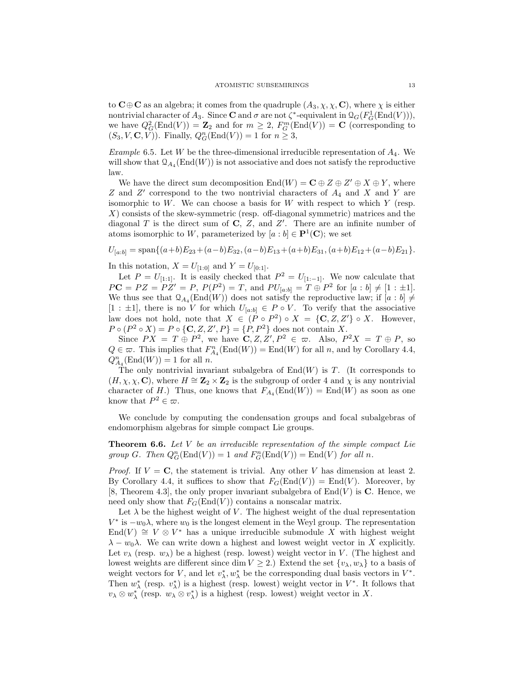to  $C \oplus C$  as an algebra; it comes from the quadruple  $(A_3, \chi, \chi, C)$ , where  $\chi$  is either nontrivial character of  $A_3$ . Since **C** and  $\sigma$  are not  $\zeta^*$ -equivalent in  $\mathcal{Q}_G(F_G^1(\text{End}(V))),$ we have  $Q_G^2(\text{End}(V)) = \mathbb{Z}_2$  and for  $m \geq 2$ ,  $F_G^m(\text{End}(V)) = \mathbb{C}$  (corresponding to  $(S_3, V, \mathbf{C}, V)$ ). Finally,  $Q_G^n(\text{End}(V)) = 1$  for  $n \geq 3$ ,

Example 6.5. Let W be the three-dimensional irreducible representation of  $A_4$ . We will show that  $\mathcal{Q}_{A_4}(\text{End}(W))$  is not associative and does not satisfy the reproductive law.

We have the direct sum decomposition  $\text{End}(W) = \mathbf{C} \oplus Z \oplus Z' \oplus X \oplus Y$ , where  $Z$  and  $Z'$  correspond to the two nontrivial characters of  $A_4$  and  $X$  and  $Y$  are isomorphic to  $W$ . We can choose a basis for  $W$  with respect to which  $Y$  (resp. X) consists of the skew-symmetric (resp. off-diagonal symmetric) matrices and the diagonal  $T$  is the direct sum of  $C$ ,  $Z$ , and  $Z'$ . There are an infinite number of atoms isomorphic to W, parameterized by  $[a:b] \in \mathbf{P}^1(\mathbf{C})$ ; we set

$$
U_{[a:b]} = \text{span}\{(a+b)E_{23} + (a-b)E_{32}, (a-b)E_{13} + (a+b)E_{31}, (a+b)E_{12} + (a-b)E_{21}\}.
$$

In this notation,  $X = U_{[1:0]}$  and  $Y = U_{[0:1]}$ .

Let  $P = U_{[1,1]}$ . It is easily checked that  $P^2 = U_{[1,-1]}$ . We now calculate that  $PC = PZ = PZ' = P, P(P^2) = T, \text{ and } PU_{[a:b]} = T \oplus P^2 \text{ for } [a:b] \neq [1:\pm 1].$ We thus see that  $\mathcal{Q}_{A_4}(\text{End}(W))$  does not satisfy the reproductive law; if  $[a:b] \neq$ [1 :  $\pm 1$ ], there is no V for which  $U_{[a:b]} \in P \circ V$ . To verify that the associative law does not hold, note that  $X \in (P \circ P^2) \circ X = \{C, Z, Z'\} \circ X$ . However,  $P \circ (P^2 \circ X) = P \circ \{C, Z, Z', P\} = \{P, P^2\}$  does not contain X.

Since  $PX = T \oplus P^2$ , we have  $\mathbb{C}, Z, Z', P^2 \in \varpi$ . Also,  $P^2X = T \oplus P$ , so  $Q \in \varpi$ . This implies that  $F_{A_4}^n(\text{End}(W)) = \text{End}(W)$  for all n, and by Corollary 4.4,  $Q_{A_4}^n(\text{End}(W)) = 1$  for all n.

The only nontrivial invariant subalgebra of  $End(W)$  is T. (It corresponds to  $(H, \chi, \chi, \mathbf{C})$ , where  $H \cong \mathbf{Z}_2 \times \mathbf{Z}_2$  is the subgroup of order 4 and  $\chi$  is any nontrivial character of H.) Thus, one knows that  $F_{A_4}(\text{End}(W)) = \text{End}(W)$  as soon as one know that  $P^2 \in \varpi$ .

We conclude by computing the condensation groups and focal subalgebras of endomorphism algebras for simple compact Lie groups.

**Theorem 6.6.** Let  $V$  be an irreducible representation of the simple compact Lie group G. Then  $Q_G^n(\text{End}(V)) = 1$  and  $F_G^n(\text{End}(V)) = \text{End}(V)$  for all n.

*Proof.* If  $V = C$ , the statement is trivial. Any other V has dimension at least 2. By Corollary 4.4, it suffices to show that  $F_G(\text{End}(V)) = \text{End}(V)$ . Moreover, by [8, Theorem 4.3], the only proper invariant subalgebra of  $End(V)$  is C. Hence, we need only show that  $F_G(\text{End}(V))$  contains a nonscalar matrix.

Let  $\lambda$  be the highest weight of V. The highest weight of the dual representation  $V^*$  is  $-w_0\lambda$ , where  $w_0$  is the longest element in the Weyl group. The representation End(V)  $\cong V \otimes V^*$  has a unique irreducible submodule X with highest weight  $\lambda - w_0 \lambda$ . We can write down a highest and lowest weight vector in X explicitly. Let  $v_{\lambda}$  (resp.  $w_{\lambda}$ ) be a highest (resp. lowest) weight vector in V. (The highest and lowest weights are different since dim  $V \geq 2$ .) Extend the set  $\{v_{\lambda}, w_{\lambda}\}\)$  to a basis of weight vectors for V, and let  $v_{\lambda}^*, w_{\lambda}^*$  be the corresponding dual basis vectors in  $V^*$ . Then  $w^*_{\lambda}$  (resp.  $v^*_{\lambda}$ ) is a highest (resp. lowest) weight vector in  $V^*$ . It follows that  $v_{\lambda} \otimes v_{\lambda}^*$  (resp.  $w_{\lambda} \otimes v_{\lambda}^*$ ) is a highest (resp. lowest) weight vector in X.